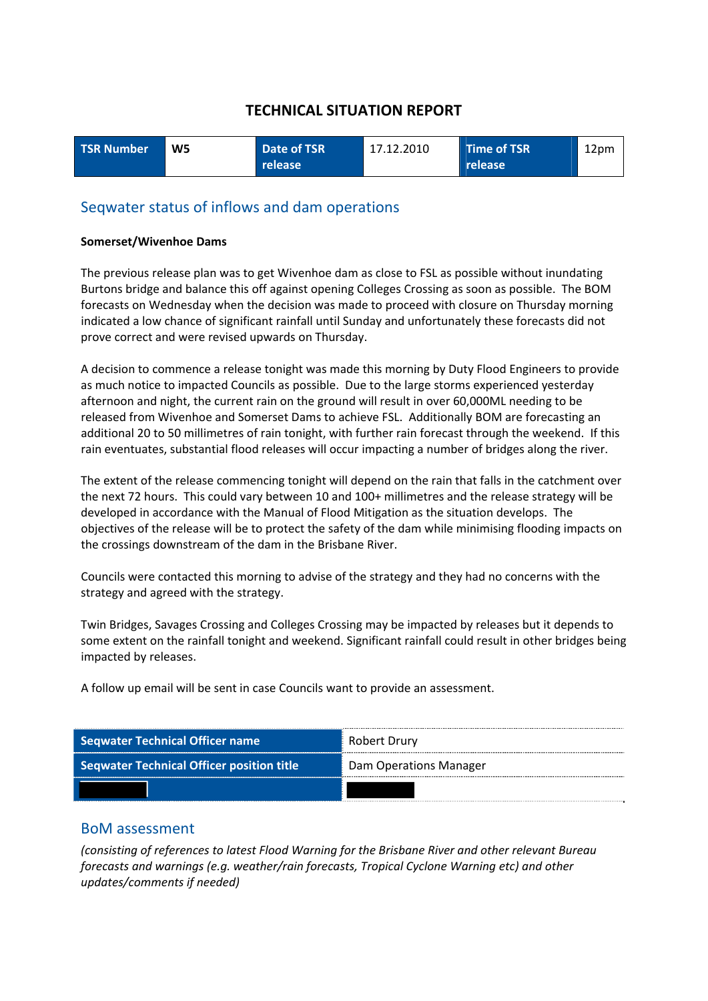| <b>TSR Number</b> | W <sub>5</sub> | Date of TSR      | 17.12.2010 | Time of TSR    | 12pm |
|-------------------|----------------|------------------|------------|----------------|------|
|                   |                | release <b>\</b> |            | <b>release</b> |      |

# Seqwater status of inflows and dam operations

#### **Somerset/Wivenhoe Dams**

The previous release plan was to get Wivenhoe dam as close to FSL as possible without inundating Burtons bridge and balance this off against opening Colleges Crossing as soon as possible. The BOM forecasts on Wednesday when the decision was made to proceed with closure on Thursday morning indicated a low chance of significant rainfall until Sunday and unfortunately these forecasts did not prove correct and were revised upwards on Thursday.

A decision to commence a release tonight was made this morning by Duty Flood Engineers to provide as much notice to impacted Councils as possible. Due to the large storms experienced yesterday afternoon and night, the current rain on the ground will result in over 60,000ML needing to be released from Wivenhoe and Somerset Dams to achieve FSL. Additionally BOM are forecasting an additional 20 to 50 millimetres of rain tonight, with further rain forecast through the weekend. If this rain eventuates, substantial flood releases will occur impacting a number of bridges along the river.

The extent of the release commencing tonight will depend on the rain that falls in the catchment over the next 72 hours. This could vary between 10 and 100+ millimetres and the release strategy will be developed in accordance with the Manual of Flood Mitigation as the situation develops. The objectives of the release will be to protect the safety of the dam while minimising flooding impacts on the crossings downstream of the dam in the Brisbane River.

Councils were contacted this morning to advise of the strategy and they had no concerns with the strategy and agreed with the strategy.

Twin Bridges, Savages Crossing and Colleges Crossing may be impacted by releases but it depends to some extent on the rainfall tonight and weekend. Significant rainfall could result in other bridges being impacted by releases.

A follow up email will be sent in case Councils want to provide an assessment.

| <b>Seqwater Technical Officer name</b>           | Robert Drury           |
|--------------------------------------------------|------------------------|
| <b>Seqwater Technical Officer position title</b> | Dam Operations Manager |
|                                                  |                        |

### BoM assessment

*(consisting of references to latest Flood Warning for the Brisbane River and other relevant Bureau forecasts and warnings (e.g. weather/rain forecasts, Tropical Cyclone Warning etc) and other updates/comments if needed)*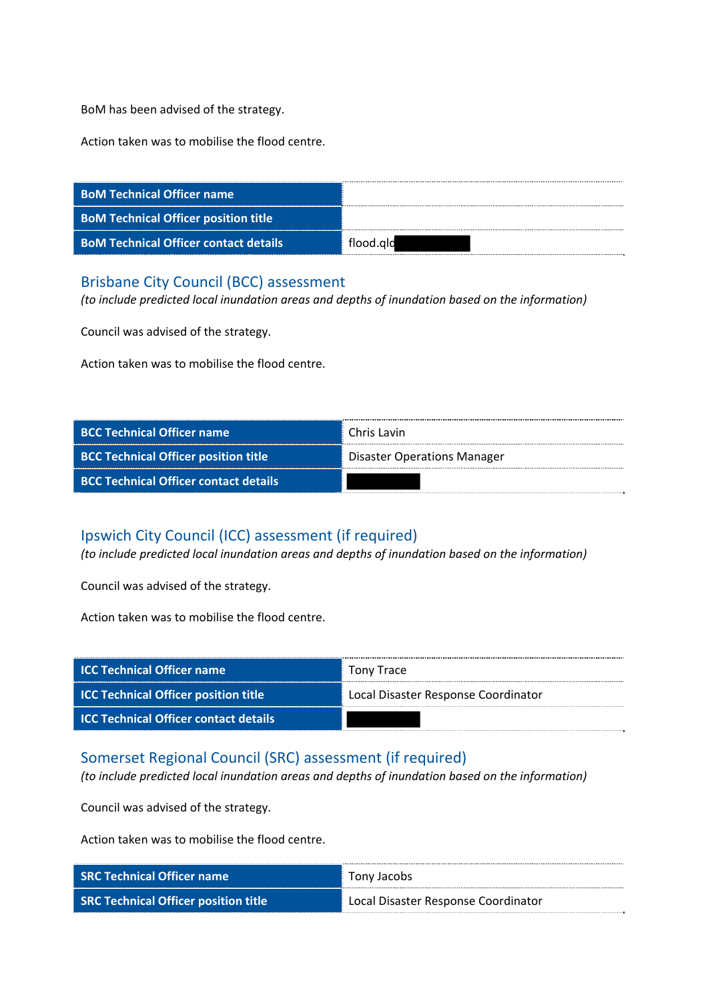BoM has been advised of the strategy.

Action taken was to mobilise the flood centre.

| <b>BoM Technical Officer name</b>            |           |
|----------------------------------------------|-----------|
| <b>BoM Technical Officer position title</b>  |           |
| <b>BoM Technical Officer contact details</b> | flood.ald |

### Brisbane City Council (BCC) assessment

*(to include predicted local inundation areas and depths of inundation based on the information)*

Council was advised of the strategy.

Action taken was to mobilise the flood centre.

| <b>BCC Technical Officer name</b>            | Chris Lavin                        |
|----------------------------------------------|------------------------------------|
| <b>BCC Technical Officer position title</b>  | <b>Disaster Operations Manager</b> |
| <b>BCC Technical Officer contact details</b> |                                    |

# Ipswich City Council (ICC) assessment (if required)

*(to include predicted local inundation areas and depths of inundation based on the information)*

Council was advised of the strategy.

Action taken was to mobilise the flood centre.

| <b>ICC Technical Officer name</b>            | <b>Tony Trace</b>                   |
|----------------------------------------------|-------------------------------------|
| <b>ICC Technical Officer position title</b>  | Local Disaster Response Coordinator |
| <b>ICC Technical Officer contact details</b> |                                     |

### Somerset Regional Council (SRC) assessment (if required)

*(to include predicted local inundation areas and depths of inundation based on the information)*

Council was advised of the strategy.

| <b>SRC Technical Officer name</b>           | Tony Jacobs                         |
|---------------------------------------------|-------------------------------------|
| <b>SRC Technical Officer position title</b> | Local Disaster Response Coordinator |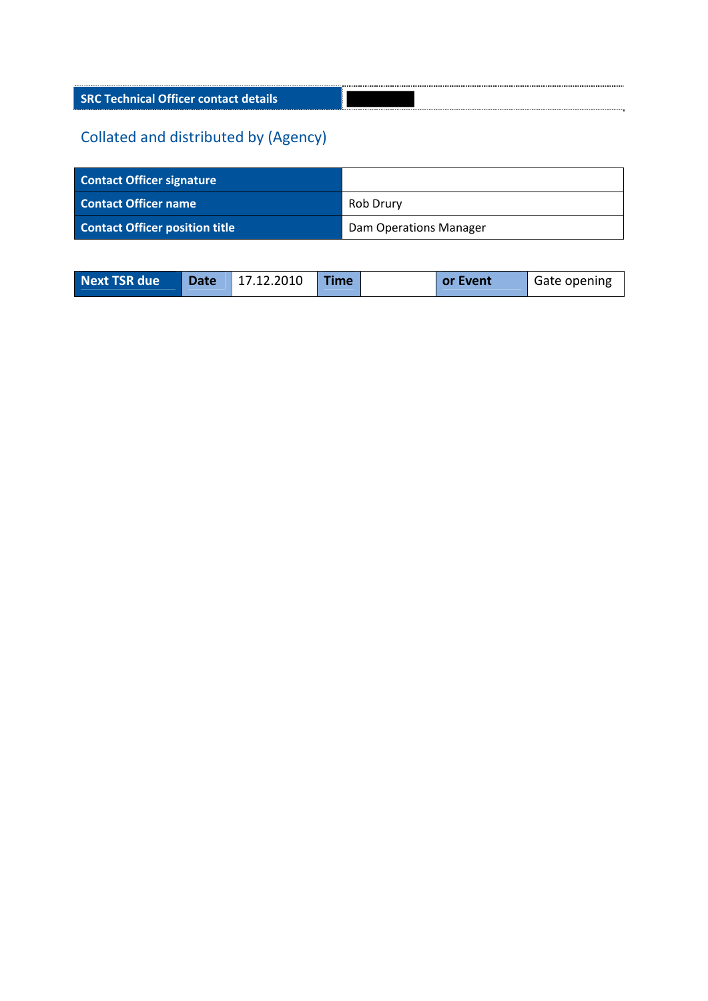**SRC Technical Officer contact details**

| <b>Contact Officer signature</b>      |                        |
|---------------------------------------|------------------------|
| <b>Contact Officer name</b>           | Rob Drury              |
| <b>Contact Officer position title</b> | Dam Operations Manager |

| <b>Next TSR due</b><br>Date 17.12.2010<br><b>Time</b><br><b>Gate opening</b><br>or Event |
|------------------------------------------------------------------------------------------|
|------------------------------------------------------------------------------------------|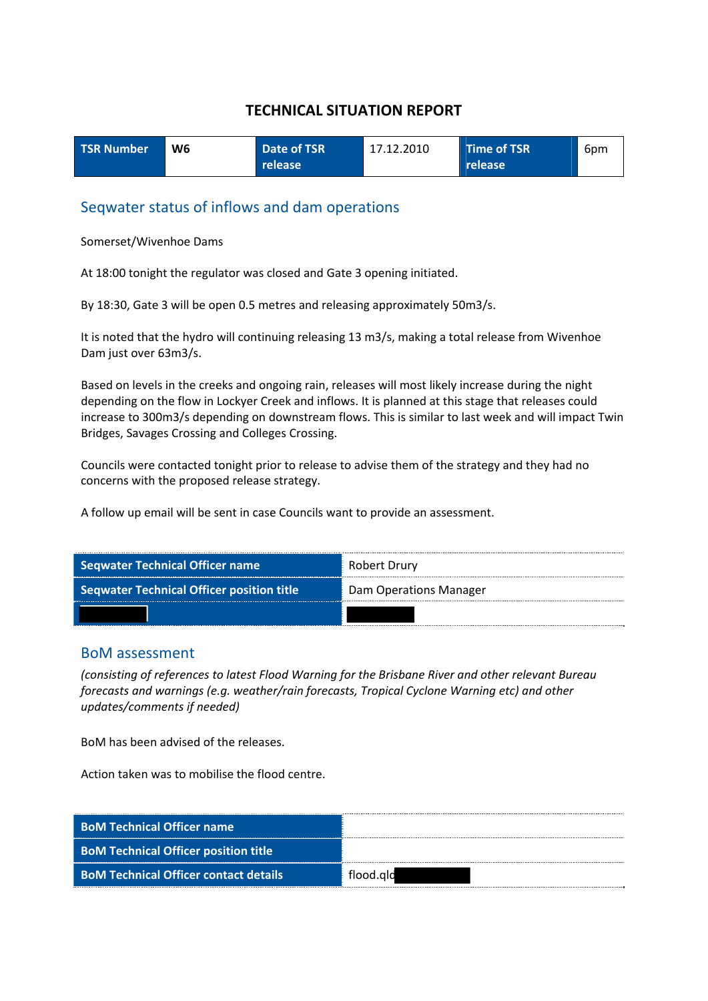| <b>TSR Number</b> | W <sub>6</sub> | Date of TSR      | 17.12.2010 | Time of TSR    | 6pm |
|-------------------|----------------|------------------|------------|----------------|-----|
|                   |                | release <b>\</b> |            | <b>release</b> |     |

### Seqwater status of inflows and dam operations

Somerset/Wivenhoe Dams

At 18:00 tonight the regulator was closed and Gate 3 opening initiated.

By 18:30, Gate 3 will be open 0.5 metres and releasing approximately 50m3/s.

It is noted that the hydro will continuing releasing 13 m3/s, making a total release from Wivenhoe Dam just over 63m3/s.

Based on levels in the creeks and ongoing rain, releases will most likely increase during the night depending on the flow in Lockyer Creek and inflows. It is planned at this stage that releases could increase to 300m3/s depending on downstream flows. This is similar to last week and will impact Twin Bridges, Savages Crossing and Colleges Crossing.

Councils were contacted tonight prior to release to advise them of the strategy and they had no concerns with the proposed release strategy.

A follow up email will be sent in case Councils want to provide an assessment.



### BoM assessment

*(consisting of references to latest Flood Warning for the Brisbane River and other relevant Bureau forecasts and warnings (e.g. weather/rain forecasts, Tropical Cyclone Warning etc) and other updates/comments if needed)*

BoM has been advised of the releases.

| <b>BoM Technical Officer name</b>            |           |
|----------------------------------------------|-----------|
| <b>BoM Technical Officer position title</b>  |           |
| <b>BoM Technical Officer contact details</b> | flood.ald |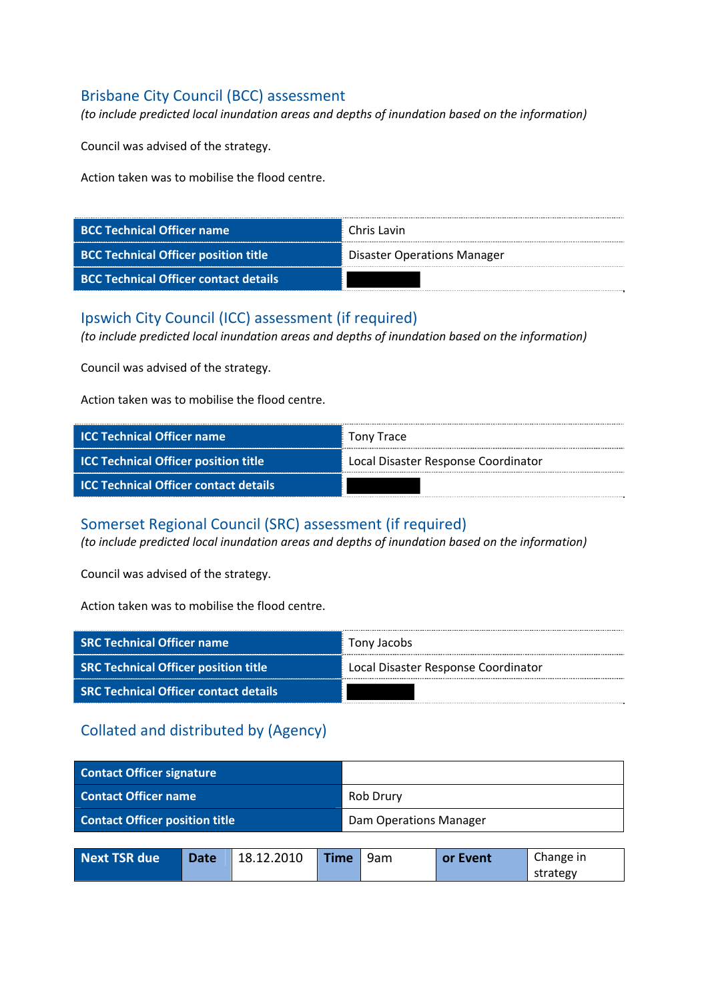# Brisbane City Council (BCC) assessment

*(to include predicted local inundation areas and depths of inundation based on the information)*

Council was advised of the strategy.

Action taken was to mobilise the flood centre.

| <b>BCC Technical Officer name</b>            | Chris Lavin                        |
|----------------------------------------------|------------------------------------|
| <b>BCC Technical Officer position title</b>  | <b>Disaster Operations Manager</b> |
| <b>BCC Technical Officer contact details</b> |                                    |

### Ipswich City Council (ICC) assessment (if required)

*(to include predicted local inundation areas and depths of inundation based on the information)*

Council was advised of the strategy.

Action taken was to mobilise the flood centre.

| <b>ICC Technical Officer name</b>            | Tony Trace                          |
|----------------------------------------------|-------------------------------------|
| <b>ICC Technical Officer position title</b>  | Local Disaster Response Coordinator |
| <b>ICC Technical Officer contact details</b> |                                     |

### Somerset Regional Council (SRC) assessment (if required)

*(to include predicted local inundation areas and depths of inundation based on the information)*

Council was advised of the strategy.

Action taken was to mobilise the flood centre.

| <b>SRC Technical Officer name</b>            | Tony Jacobs                         |
|----------------------------------------------|-------------------------------------|
| <b>SRC Technical Officer position title</b>  | Local Disaster Response Coordinator |
| <b>SRC Technical Officer contact details</b> |                                     |

# Collated and distributed by (Agency)

| <b>Contact Officer signature</b>      |      |            |                        |     |          |           |
|---------------------------------------|------|------------|------------------------|-----|----------|-----------|
| <b>Contact Officer name</b>           |      |            | Rob Drury              |     |          |           |
| <b>Contact Officer position title</b> |      |            | Dam Operations Manager |     |          |           |
|                                       |      |            |                        |     |          |           |
| <b>Next TSR due</b>                   | Date | 18.12.2010 | <b>Time</b>            | 9am | or Event | Change in |

strategy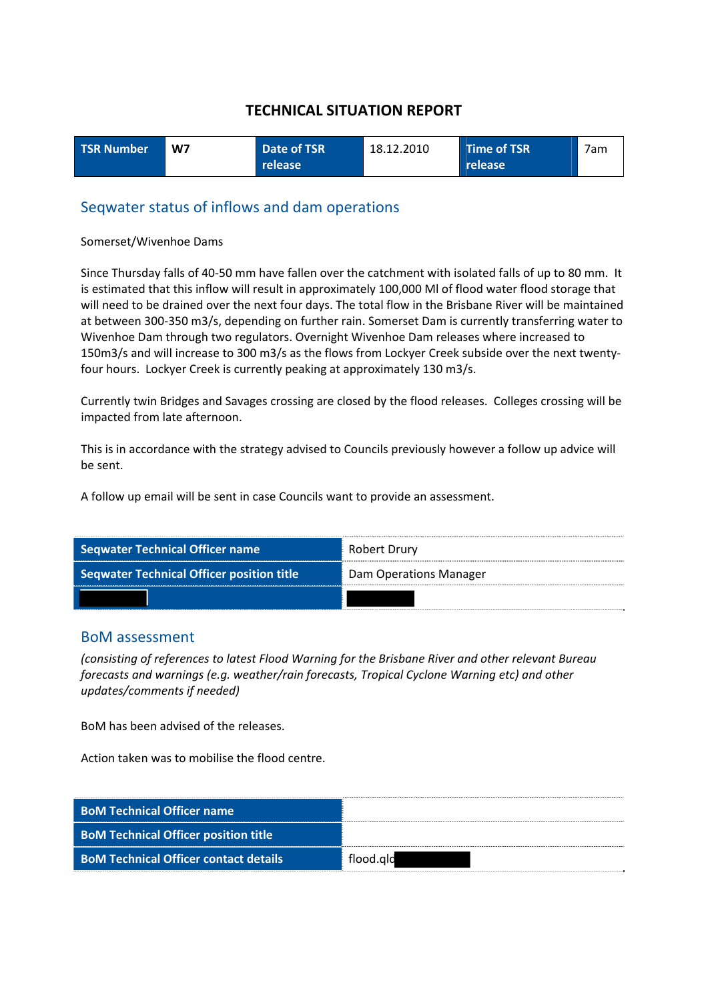| <b>TSR Number</b> | W7 | Date of TSR | 18.12.2010 | Time of TSR | 7am |
|-------------------|----|-------------|------------|-------------|-----|
|                   |    | release     |            | release     |     |

### Seqwater status of inflows and dam operations

#### Somerset/Wivenhoe Dams

Since Thursday falls of 40‐50 mm have fallen over the catchment with isolated falls of up to 80 mm. It is estimated that this inflow will result in approximately 100,000 Ml of flood water flood storage that will need to be drained over the next four days. The total flow in the Brisbane River will be maintained at between 300‐350 m3/s, depending on further rain. Somerset Dam is currently transferring water to Wivenhoe Dam through two regulators. Overnight Wivenhoe Dam releases where increased to 150m3/s and will increase to 300 m3/s as the flows from Lockyer Creek subside over the next twenty‐ four hours. Lockyer Creek is currently peaking at approximately 130 m3/s.

Currently twin Bridges and Savages crossing are closed by the flood releases. Colleges crossing will be impacted from late afternoon.

This is in accordance with the strategy advised to Councils previously however a follow up advice will be sent.

A follow up email will be sent in case Councils want to provide an assessment.

| <b>Seqwater Technical Officer name</b>           | Robert Drury           |
|--------------------------------------------------|------------------------|
| <b>Seqwater Technical Officer position title</b> | Dam Operations Manager |
|                                                  |                        |

### BoM assessment

*(consisting of references to latest Flood Warning for the Brisbane River and other relevant Bureau forecasts and warnings (e.g. weather/rain forecasts, Tropical Cyclone Warning etc) and other updates/comments if needed)*

BoM has been advised of the releases.

| <b>BoM Technical Officer name</b>            |           |
|----------------------------------------------|-----------|
| <b>BoM Technical Officer position title</b>  |           |
| <b>BoM Technical Officer contact details</b> | flood.gld |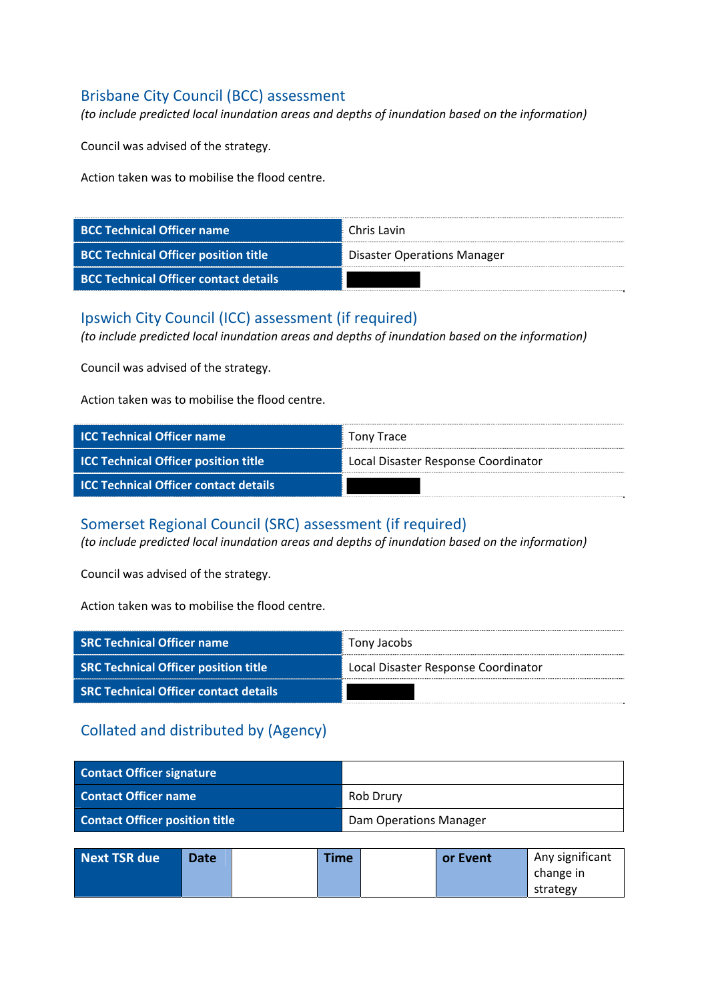# Brisbane City Council (BCC) assessment

*(to include predicted local inundation areas and depths of inundation based on the information)*

Council was advised of the strategy.

Action taken was to mobilise the flood centre.

| <b>BCC Technical Officer name</b>            | Chris Lavin                        |
|----------------------------------------------|------------------------------------|
| <b>BCC Technical Officer position title</b>  | <b>Disaster Operations Manager</b> |
| <b>BCC Technical Officer contact details</b> |                                    |

### Ipswich City Council (ICC) assessment (if required)

*(to include predicted local inundation areas and depths of inundation based on the information)*

Council was advised of the strategy.

Action taken was to mobilise the flood centre.

| <b>ICC Technical Officer name</b>            | Tony Trace                          |
|----------------------------------------------|-------------------------------------|
| <b>ICC Technical Officer position title</b>  | Local Disaster Response Coordinator |
| <b>ICC Technical Officer contact details</b> |                                     |

### Somerset Regional Council (SRC) assessment (if required)

*(to include predicted local inundation areas and depths of inundation based on the information)*

Council was advised of the strategy.

Action taken was to mobilise the flood centre.

| <b>SRC Technical Officer name</b>            | Tony Jacobs                         |
|----------------------------------------------|-------------------------------------|
| <b>SRC Technical Officer position title</b>  | Local Disaster Response Coordinator |
| <b>SRC Technical Officer contact details</b> |                                     |

| <b>Contact Officer signature</b>      |                        |
|---------------------------------------|------------------------|
| <b>Contact Officer name</b>           | Rob Drury              |
| <b>Contact Officer position title</b> | Dam Operations Manager |

| Next TSR due | <b>Date</b> | <b>Time</b> | or Event | Any significant |
|--------------|-------------|-------------|----------|-----------------|
|              |             |             |          | change in       |
|              |             |             |          | strategy        |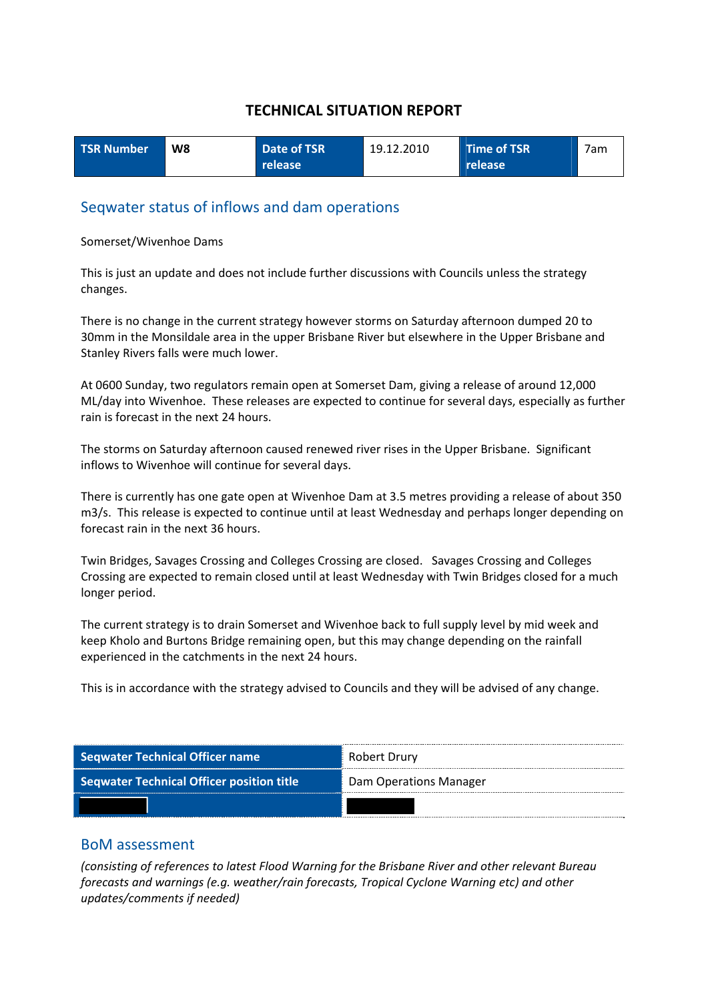| <b>TSR Number</b> | W8 | Date of TSR | 19.12.2010 | Time of TSR    | 7am |
|-------------------|----|-------------|------------|----------------|-----|
|                   |    | release     |            | <b>release</b> |     |

### Seqwater status of inflows and dam operations

#### Somerset/Wivenhoe Dams

This is just an update and does not include further discussions with Councils unless the strategy changes.

There is no change in the current strategy however storms on Saturday afternoon dumped 20 to 30mm in the Monsildale area in the upper Brisbane River but elsewhere in the Upper Brisbane and Stanley Rivers falls were much lower.

At 0600 Sunday, two regulators remain open at Somerset Dam, giving a release of around 12,000 ML/day into Wivenhoe. These releases are expected to continue for several days, especially as further rain is forecast in the next 24 hours.

The storms on Saturday afternoon caused renewed river rises in the Upper Brisbane. Significant inflows to Wivenhoe will continue for several days.

There is currently has one gate open at Wivenhoe Dam at 3.5 metres providing a release of about 350 m3/s. This release is expected to continue until at least Wednesday and perhaps longer depending on forecast rain in the next 36 hours.

Twin Bridges, Savages Crossing and Colleges Crossing are closed. Savages Crossing and Colleges Crossing are expected to remain closed until at least Wednesday with Twin Bridges closed for a much longer period.

The current strategy is to drain Somerset and Wivenhoe back to full supply level by mid week and keep Kholo and Burtons Bridge remaining open, but this may change depending on the rainfall experienced in the catchments in the next 24 hours.

This is in accordance with the strategy advised to Councils and they will be advised of any change.

| <b>Seqwater Technical Officer name</b>           | Robert Drury           |
|--------------------------------------------------|------------------------|
| <b>Seqwater Technical Officer position title</b> | Dam Operations Manager |
|                                                  |                        |

### BoM assessment

*(consisting of references to latest Flood Warning for the Brisbane River and other relevant Bureau forecasts and warnings (e.g. weather/rain forecasts, Tropical Cyclone Warning etc) and other updates/comments if needed)*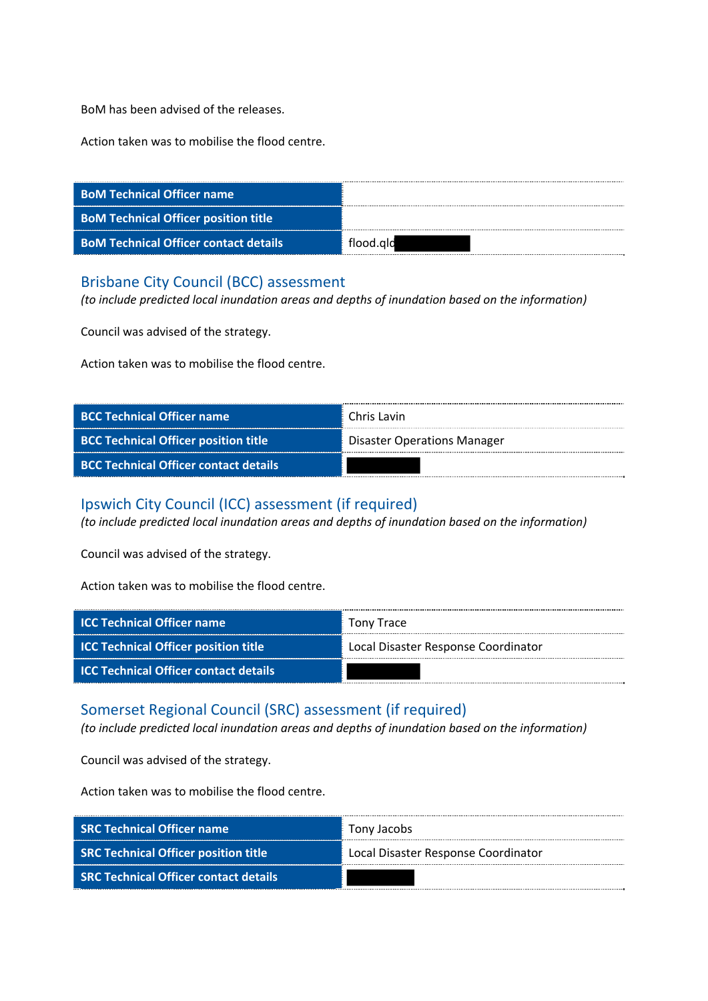BoM has been advised of the releases.

Action taken was to mobilise the flood centre.

| <b>BoM Technical Officer name</b>            |           |
|----------------------------------------------|-----------|
| <b>BoM Technical Officer position title</b>  |           |
| <b>BoM Technical Officer contact details</b> | flood.ald |

### Brisbane City Council (BCC) assessment

*(to include predicted local inundation areas and depths of inundation based on the information)*

Council was advised of the strategy.

Action taken was to mobilise the flood centre.

| <b>BCC Technical Officer name</b>            | Chris Lavin                        |
|----------------------------------------------|------------------------------------|
| <b>BCC Technical Officer position title</b>  | <b>Disaster Operations Manager</b> |
| <b>BCC Technical Officer contact details</b> |                                    |

### Ipswich City Council (ICC) assessment (if required)

*(to include predicted local inundation areas and depths of inundation based on the information)*

Council was advised of the strategy.

Action taken was to mobilise the flood centre.

| <b>ICC Technical Officer name</b>            | Tony Trace                          |
|----------------------------------------------|-------------------------------------|
| <b>ICC Technical Officer position title</b>  | Local Disaster Response Coordinator |
| <b>ICC Technical Officer contact details</b> |                                     |

### Somerset Regional Council (SRC) assessment (if required)

*(to include predicted local inundation areas and depths of inundation based on the information)*

Council was advised of the strategy.

| <b>SRC Technical Officer name</b>            | Tony Jacobs                         |
|----------------------------------------------|-------------------------------------|
| <b>SRC Technical Officer position title</b>  | Local Disaster Response Coordinator |
| <b>SRC Technical Officer contact details</b> |                                     |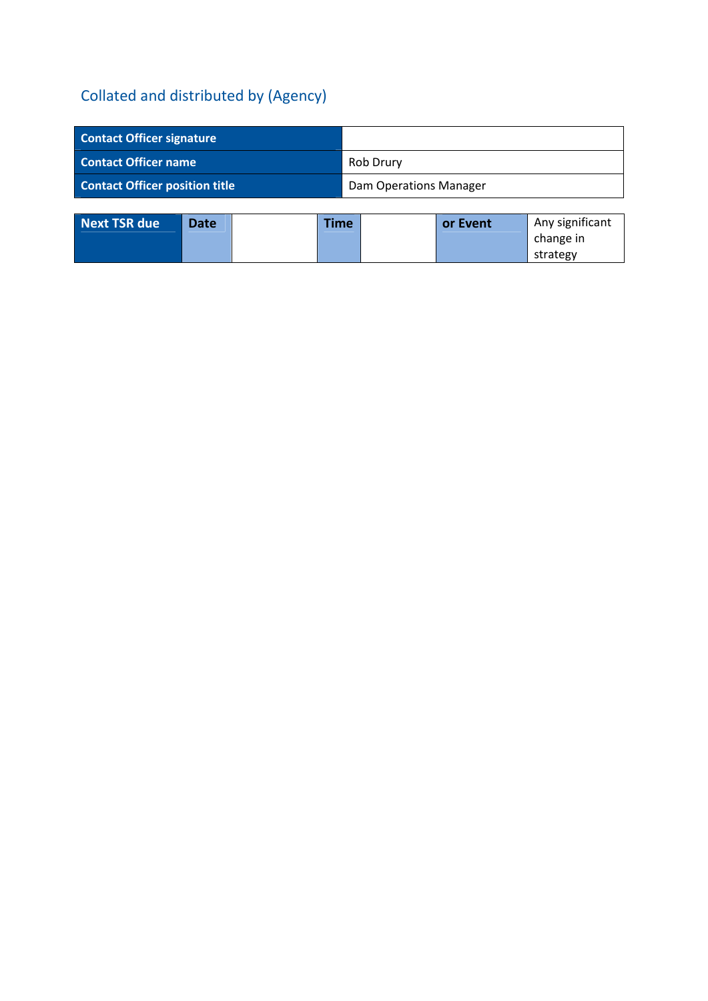| <b>Contact Officer signature</b>      |                               |
|---------------------------------------|-------------------------------|
| <b>Contact Officer name</b>           | Rob Drury                     |
| <b>Contact Officer position title</b> | <b>Dam Operations Manager</b> |

| <b>Next TSR due</b> | <b>Date</b> | <b>Time</b> | or Event | Any significant |
|---------------------|-------------|-------------|----------|-----------------|
|                     |             |             |          | change in       |
|                     |             |             |          | strategy        |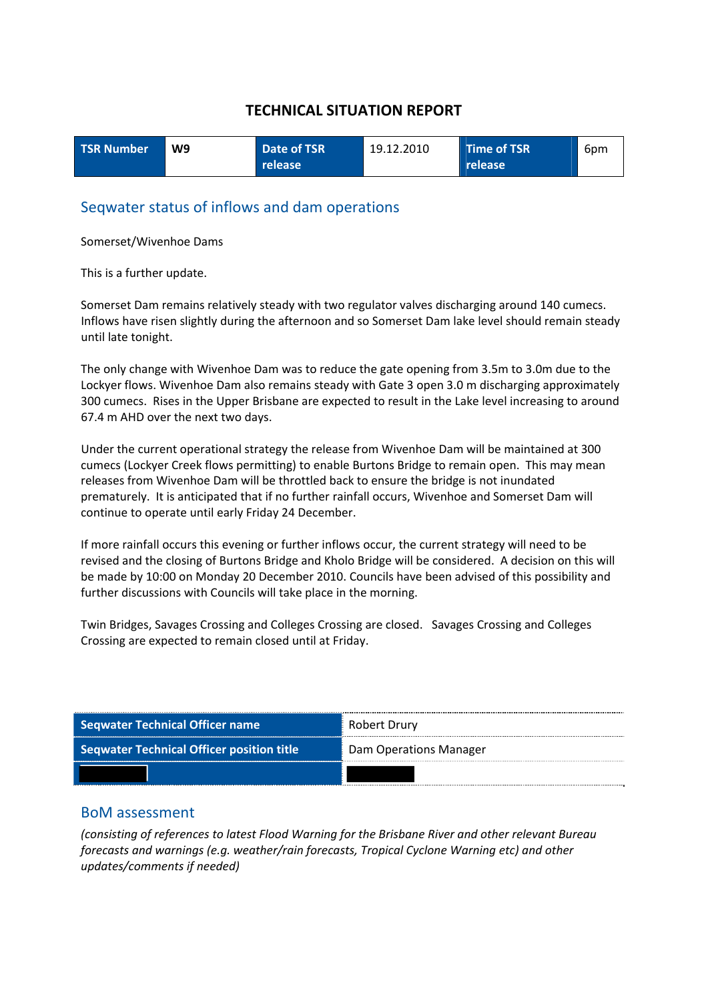| <b>TSR Number</b> | W9 | Date of TSR | 19.12.2010 | Time of TSR    | 6pm |
|-------------------|----|-------------|------------|----------------|-----|
|                   |    | release     |            | <b>release</b> |     |

### Seqwater status of inflows and dam operations

Somerset/Wivenhoe Dams

This is a further update.

Somerset Dam remains relatively steady with two regulator valves discharging around 140 cumecs. Inflows have risen slightly during the afternoon and so Somerset Dam lake level should remain steady until late tonight.

The only change with Wivenhoe Dam was to reduce the gate opening from 3.5m to 3.0m due to the Lockyer flows. Wivenhoe Dam also remains steady with Gate 3 open 3.0 m discharging approximately 300 cumecs. Rises in the Upper Brisbane are expected to result in the Lake level increasing to around 67.4 m AHD over the next two days.

Under the current operational strategy the release from Wivenhoe Dam will be maintained at 300 cumecs (Lockyer Creek flows permitting) to enable Burtons Bridge to remain open. This may mean releases from Wivenhoe Dam will be throttled back to ensure the bridge is not inundated prematurely. It is anticipated that if no further rainfall occurs, Wivenhoe and Somerset Dam will continue to operate until early Friday 24 December.

If more rainfall occurs this evening or further inflows occur, the current strategy will need to be revised and the closing of Burtons Bridge and Kholo Bridge will be considered. A decision on this will be made by 10:00 on Monday 20 December 2010. Councils have been advised of this possibility and further discussions with Councils will take place in the morning.

Twin Bridges, Savages Crossing and Colleges Crossing are closed. Savages Crossing and Colleges Crossing are expected to remain closed until at Friday.

| <b>Seqwater Technical Officer name</b>           | Robert Drury           |
|--------------------------------------------------|------------------------|
| <b>Seqwater Technical Officer position title</b> | Dam Operations Manager |
|                                                  |                        |

### BoM assessment

*(consisting of references to latest Flood Warning for the Brisbane River and other relevant Bureau forecasts and warnings (e.g. weather/rain forecasts, Tropical Cyclone Warning etc) and other updates/comments if needed)*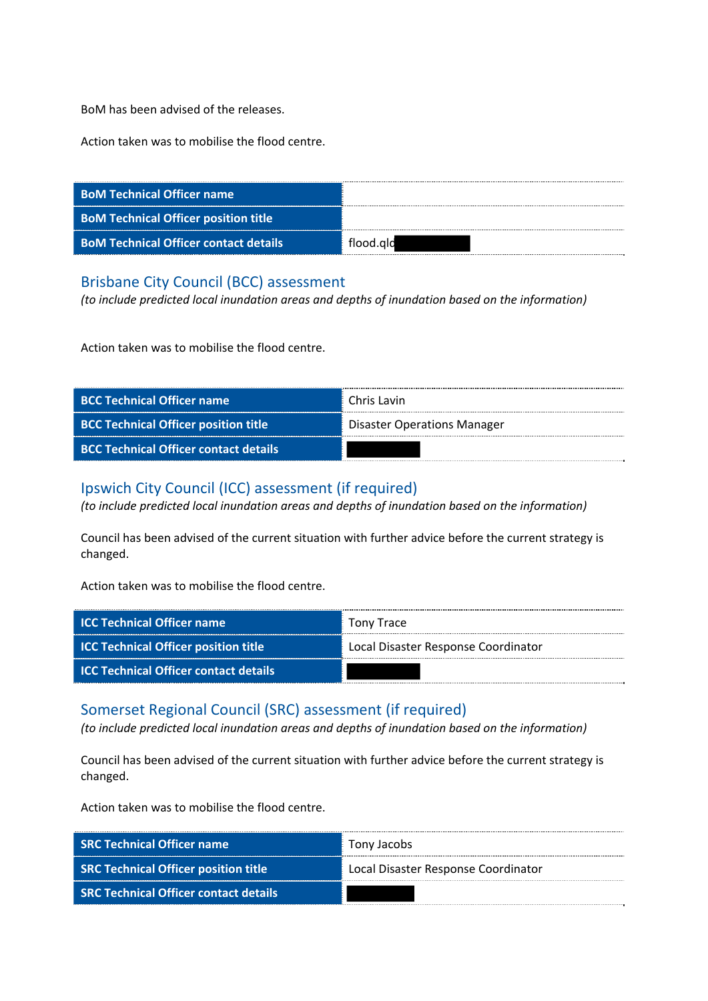BoM has been advised of the releases.

Action taken was to mobilise the flood centre.

| <b>BoM Technical Officer name</b>            |           |
|----------------------------------------------|-----------|
| <b>BoM Technical Officer position title</b>  |           |
| <b>BoM Technical Officer contact details</b> | flood.ald |

### Brisbane City Council (BCC) assessment

*(to include predicted local inundation areas and depths of inundation based on the information)*

Action taken was to mobilise the flood centre.

| <b>BCC Technical Officer name</b>            | Chris Lavin                        |
|----------------------------------------------|------------------------------------|
| <b>BCC Technical Officer position title</b>  | <b>Disaster Operations Manager</b> |
| <b>BCC Technical Officer contact details</b> |                                    |

# Ipswich City Council (ICC) assessment (if required)

*(to include predicted local inundation areas and depths of inundation based on the information)*

Council has been advised of the current situation with further advice before the current strategy is changed.

Action taken was to mobilise the flood centre.

| <b>ICC Technical Officer name</b>            | Tony Trace                          |
|----------------------------------------------|-------------------------------------|
| <b>ICC Technical Officer position title</b>  | Local Disaster Response Coordinator |
| <b>ICC Technical Officer contact details</b> |                                     |

### Somerset Regional Council (SRC) assessment (if required)

*(to include predicted local inundation areas and depths of inundation based on the information)*

Council has been advised of the current situation with further advice before the current strategy is changed.

| <b>SRC Technical Officer name</b>            | Tony Jacobs                         |
|----------------------------------------------|-------------------------------------|
| <b>SRC Technical Officer position title</b>  | Local Disaster Response Coordinator |
| <b>SRC Technical Officer contact details</b> |                                     |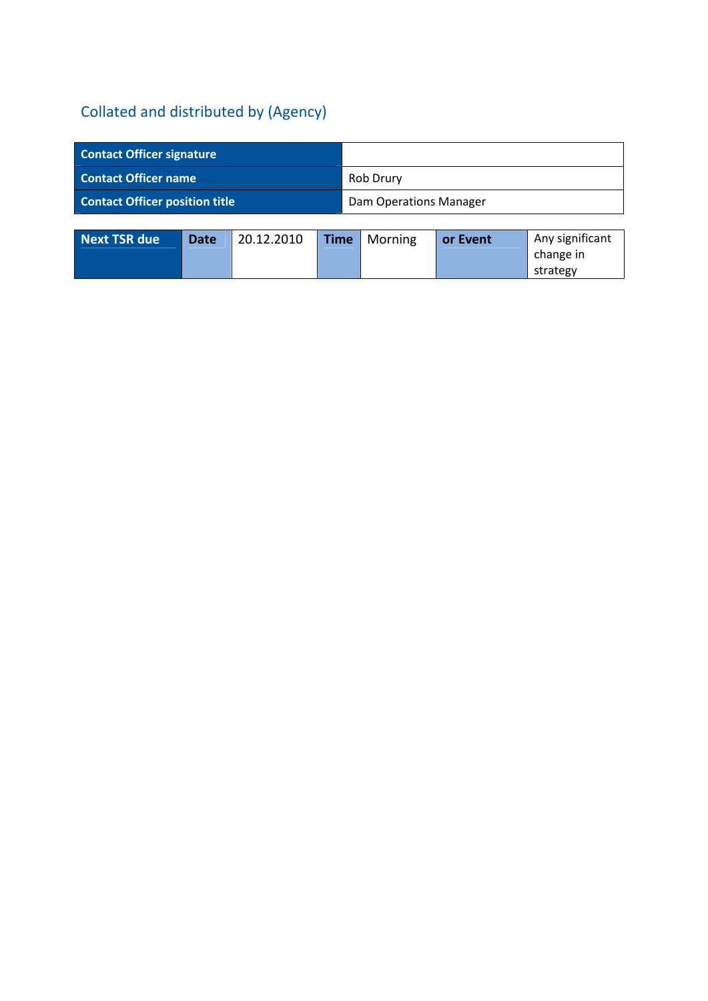| <b>Contact Officer signature</b>      |                        |
|---------------------------------------|------------------------|
| <b>Contact Officer name</b>           | Rob Drury              |
| <b>Contact Officer position title</b> | Dam Operations Manager |

| Next TSR due | <b>Date</b> | 20.12.2010 | <b>Time</b> | Morning | or Event | Any significant |
|--------------|-------------|------------|-------------|---------|----------|-----------------|
|              |             |            |             |         |          | change in       |
|              |             |            |             |         |          | strategy        |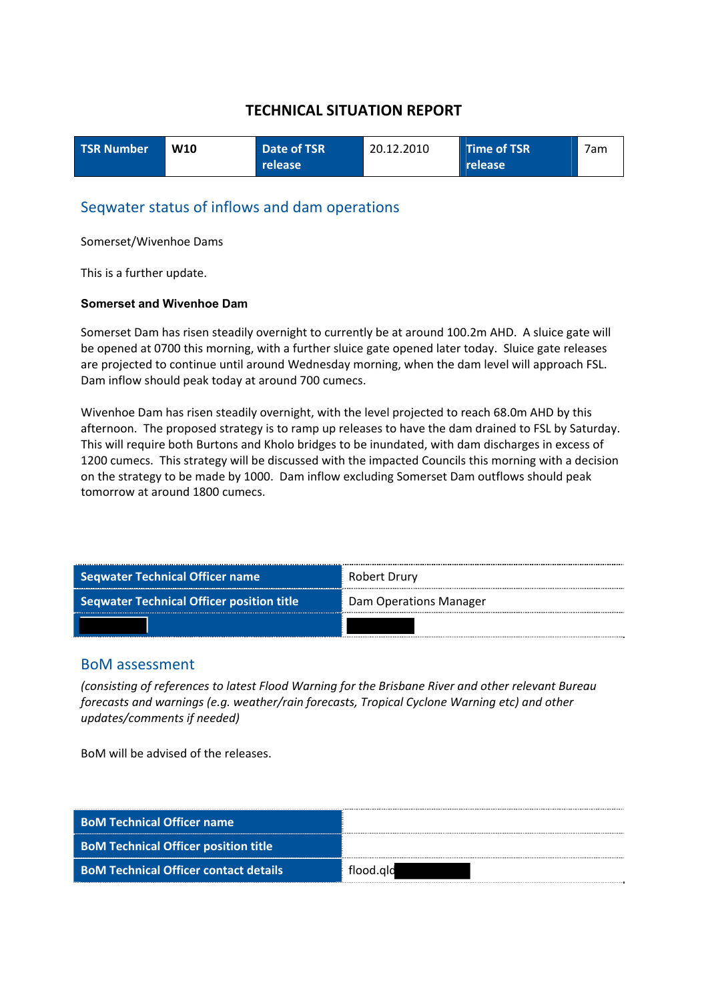| <b>TSR Number</b> | W <sub>10</sub> | Date of TSR | 20.12.2010 | Time of TSR | 7am |
|-------------------|-----------------|-------------|------------|-------------|-----|
|                   |                 | release     |            | release     |     |

### Seqwater status of inflows and dam operations

Somerset/Wivenhoe Dams

This is a further update.

#### **Somerset and Wivenhoe Dam**

Somerset Dam has risen steadily overnight to currently be at around 100.2m AHD. A sluice gate will be opened at 0700 this morning, with a further sluice gate opened later today. Sluice gate releases are projected to continue until around Wednesday morning, when the dam level will approach FSL. Dam inflow should peak today at around 700 cumecs.

Wivenhoe Dam has risen steadily overnight, with the level projected to reach 68.0m AHD by this afternoon. The proposed strategy is to ramp up releases to have the dam drained to FSL by Saturday. This will require both Burtons and Kholo bridges to be inundated, with dam discharges in excess of 1200 cumecs. This strategy will be discussed with the impacted Councils this morning with a decision on the strategy to be made by 1000. Dam inflow excluding Somerset Dam outflows should peak tomorrow at around 1800 cumecs.

| <b>Seqwater Technical Officer name</b>           | Robert Drury           |  |  |
|--------------------------------------------------|------------------------|--|--|
| <b>Seqwater Technical Officer position title</b> | Dam Operations Manager |  |  |
|                                                  |                        |  |  |

#### BoM assessment

*(consisting of references to latest Flood Warning for the Brisbane River and other relevant Bureau forecasts and warnings (e.g. weather/rain forecasts, Tropical Cyclone Warning etc) and other updates/comments if needed)*

BoM will be advised of the releases.

| <b>BoM Technical Officer name</b>            |           |
|----------------------------------------------|-----------|
| <b>BoM Technical Officer position title</b>  |           |
| <b>BoM Technical Officer contact details</b> | flood.ald |